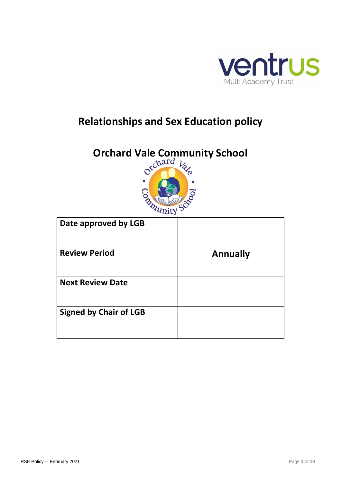

# **Relationships and Sex Education policy**

# **Orchard Vale Community School**<br>  $\circ^{\text{c} \text{hard}}$   $k_{\text{c}}$



| Date approved by LGB          |                 |
|-------------------------------|-----------------|
| <b>Review Period</b>          | <b>Annually</b> |
| <b>Next Review Date</b>       |                 |
| <b>Signed by Chair of LGB</b> |                 |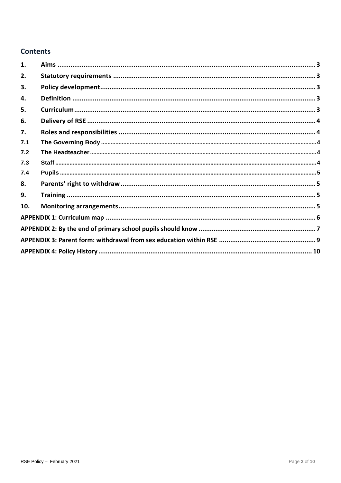# **Contents**

| 1.  |  |
|-----|--|
| 2.  |  |
| 3.  |  |
| 4.  |  |
| 5.  |  |
| 6.  |  |
| 7.  |  |
| 7.1 |  |
| 7.2 |  |
| 7.3 |  |
| 7.4 |  |
| 8.  |  |
| 9.  |  |
| 10. |  |
|     |  |
|     |  |
|     |  |
|     |  |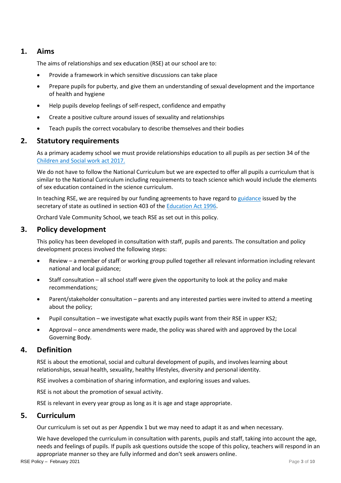# <span id="page-2-0"></span>**1. Aims**

The aims of relationships and sex education (RSE) at our school are to:

- Provide a framework in which sensitive discussions can take place
- Prepare pupils for puberty, and give them an understanding of sexual development and the importance of health and hygiene
- Help pupils develop feelings of self-respect, confidence and empathy
- Create a positive culture around issues of sexuality and relationships
- Teach pupils the correct vocabulary to describe themselves and their bodies

# <span id="page-2-1"></span>**2. Statutory requirements**

As a primary academy school we must provide relationships education to all pupils as per section 34 of the [Children and Social work](http://www.legislation.gov.uk/ukpga/2017/16/section/34/enacted) act 2017.

We do not have to follow the National Curriculum but we are expected to offer all pupils a curriculum that is similar to the National Curriculum including requirements to teach science which would include the elements of sex education contained in the science curriculum.

In teaching RSE, we are required by our funding agreements to have regard to [guidance](https://www.gov.uk/government/consultations/relationships-and-sex-education-and-health-education) issued by the secretary of state as outlined in section 403 of th[e Education Act 1996.](http://www.legislation.gov.uk/ukpga/1996/56/contents)

Orchard Vale Community School, we teach RSE as set out in this policy.

# <span id="page-2-2"></span>**3. Policy development**

This policy has been developed in consultation with staff, pupils and parents. The consultation and policy development process involved the following steps:

- Review a member of staff or working group pulled together all relevant information including relevant national and local guidance;
- Staff consultation all school staff were given the opportunity to look at the policy and make recommendations;
- Parent/stakeholder consultation parents and any interested parties were invited to attend a meeting about the policy;
- Pupil consultation we investigate what exactly pupils want from their RSE in upper KS2;
- Approval once amendments were made, the policy was shared with and approved by the Local Governing Body.

# <span id="page-2-3"></span>**4. Definition**

RSE is about the emotional, social and cultural development of pupils, and involves learning about relationships, sexual health, sexuality, healthy lifestyles, diversity and personal identity.

RSE involves a combination of sharing information, and exploring issues and values.

RSE is not about the promotion of sexual activity.

RSE is relevant in every year group as long as it is age and stage appropriate.

# <span id="page-2-4"></span>**5. Curriculum**

Our curriculum is set out as per Appendix 1 but we may need to adapt it as and when necessary.

We have developed the curriculum in consultation with parents, pupils and staff, taking into account the age, needs and feelings of pupils. If pupils ask questions outside the scope of this policy, teachers will respond in an appropriate manner so they are fully informed and don't seek answers online.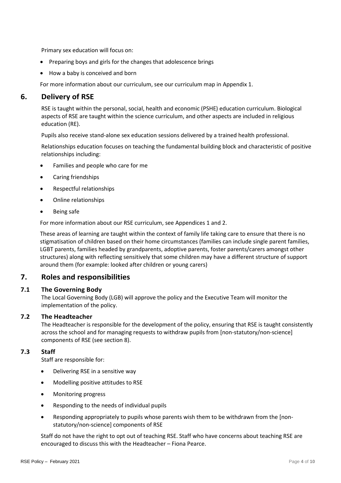Primary sex education will focus on:

- Preparing boys and girls for the changes that adolescence brings
- How a baby is conceived and born

For more information about our curriculum, see our curriculum map in Appendix 1.

# <span id="page-3-0"></span>**6. Delivery of RSE**

RSE is taught within the personal, social, health and economic (PSHE) education curriculum. Biological aspects of RSE are taught within the science curriculum, and other aspects are included in religious education (RE).

Pupils also receive stand-alone sex education sessions delivered by a trained health professional.

Relationships education focuses on teaching the fundamental building block and characteristic of positive relationships including:

- Families and people who care for me
- Caring friendships
- Respectful relationships
- Online relationships
- Being safe

For more information about our RSE curriculum, see Appendices 1 and 2.

These areas of learning are taught within the context of family life taking care to ensure that there is no stigmatisation of children based on their home circumstances (families can include single parent families, LGBT parents, families headed by grandparents, adoptive parents, foster parents/carers amongst other structures) along with reflecting sensitively that some children may have a different structure of support around them (for example: looked after children or young carers)

# <span id="page-3-1"></span>**7. Roles and responsibilities**

#### <span id="page-3-2"></span>**7.1 The Governing Body**

The Local Governing Body (LGB) will approve the policy and the Executive Team will monitor the implementation of the policy.

#### <span id="page-3-3"></span>**7.2 The Headteacher**

The Headteacher is responsible for the development of the policy, ensuring that RSE is taught consistently across the school and for managing requests to withdraw pupils from [non-statutory/non-science] components of RSE (see section 8).

#### <span id="page-3-4"></span>**7.3 Staff**

Staff are responsible for:

- Delivering RSE in a sensitive way
- Modelling positive attitudes to RSE
- Monitoring progress
- Responding to the needs of individual pupils
- Responding appropriately to pupils whose parents wish them to be withdrawn from the [nonstatutory/non-science] components of RSE

Staff do not have the right to opt out of teaching RSE. Staff who have concerns about teaching RSE are encouraged to discuss this with the Headteacher – Fiona Pearce.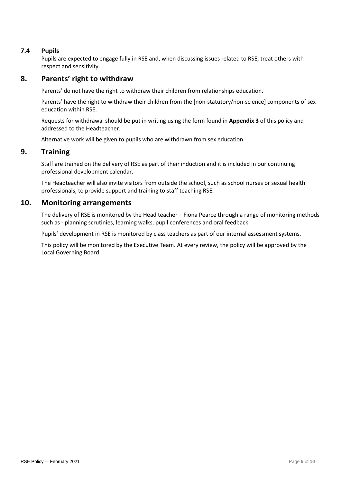# <span id="page-4-0"></span>**7.4 Pupils**

Pupils are expected to engage fully in RSE and, when discussing issues related to RSE, treat others with respect and sensitivity.

# <span id="page-4-1"></span>**8. Parents' right to withdraw**

Parents' do not have the right to withdraw their children from relationships education.

Parents' have the right to withdraw their children from the [non-statutory/non-science] components of sex education within RSE.

Requests for withdrawal should be put in writing using the form found in **Appendix 3** of this policy and addressed to the Headteacher.

Alternative work will be given to pupils who are withdrawn from sex education.

# <span id="page-4-2"></span>**9. Training**

Staff are trained on the delivery of RSE as part of their induction and it is included in our continuing professional development calendar.

The Headteacher will also invite visitors from outside the school, such as school nurses or sexual health professionals, to provide support and training to staff teaching RSE.

# <span id="page-4-3"></span>**10. Monitoring arrangements**

The delivery of RSE is monitored by the Head teacher – Fiona Pearce through a range of monitoring methods such as - planning scrutinies, learning walks, pupil conferences and oral feedback.

Pupils' development in RSE is monitored by class teachers as part of our internal assessment systems.

This policy will be monitored by the Executive Team. At every review, the policy will be approved by the Local Governing Board.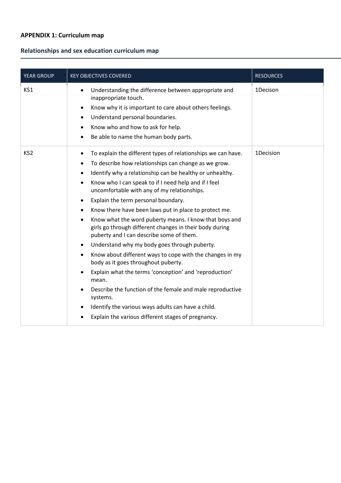# <span id="page-5-0"></span>**APPENDIX 1: Curriculum map**

# **Relationships and sex education curriculum map**

| YEAR GROUP      | <b>KEY OBJECTIVES COVERED</b>                                                                                                                                                                                                                                                                                                                                                                                                                                                                                                                                                                                                                                                                                                                                                                                                                                                                                                                                                                                                        | <b>RESOURCES</b> |
|-----------------|--------------------------------------------------------------------------------------------------------------------------------------------------------------------------------------------------------------------------------------------------------------------------------------------------------------------------------------------------------------------------------------------------------------------------------------------------------------------------------------------------------------------------------------------------------------------------------------------------------------------------------------------------------------------------------------------------------------------------------------------------------------------------------------------------------------------------------------------------------------------------------------------------------------------------------------------------------------------------------------------------------------------------------------|------------------|
| KS1             | Understanding the difference between appropriate and<br>inappropriate touch.<br>Know why it is important to care about others feelings.<br>Understand personal boundaries.<br>٠<br>Know who and how to ask for help.<br>Be able to name the human body parts.<br>$\bullet$                                                                                                                                                                                                                                                                                                                                                                                                                                                                                                                                                                                                                                                                                                                                                           | 1Decison         |
| KS <sub>2</sub> | To explain the different types of relationships we can have.<br>To describe how relationships can change as we grow.<br>Identify why a relationship can be healthy or unhealthy.<br>$\bullet$<br>Know who I can speak to if I need help and if I feel<br>$\bullet$<br>uncomfortable with any of my relationships.<br>Explain the term personal boundary.<br>$\bullet$<br>Know there have been laws put in place to protect me.<br>Know what the word puberty means. I know that boys and<br>girls go through different changes in their body during<br>puberty and I can describe some of them.<br>Understand why my body goes through puberty.<br>$\bullet$<br>Know about different ways to cope with the changes in my<br>$\bullet$<br>body as it goes throughout puberty.<br>Explain what the terms 'conception' and 'reproduction'<br>mean.<br>Describe the function of the female and male reproductive<br>systems.<br>Identify the various ways adults can have a child.<br>Explain the various different stages of pregnancy. | 1Decision        |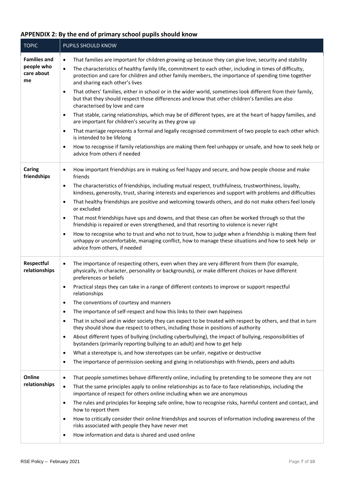# <span id="page-6-0"></span>**APPENDIX 2: By the end of primary school pupils should know**

| <b>TOPIC</b>                                          | PUPILS SHOULD KNOW                                                                                                                                                                                                                                                                                                                                                                                                                                                                                                                                                                                                                                                                                                                                                                                                                                                                                                                                                                                                                                                                                                                                                   |
|-------------------------------------------------------|----------------------------------------------------------------------------------------------------------------------------------------------------------------------------------------------------------------------------------------------------------------------------------------------------------------------------------------------------------------------------------------------------------------------------------------------------------------------------------------------------------------------------------------------------------------------------------------------------------------------------------------------------------------------------------------------------------------------------------------------------------------------------------------------------------------------------------------------------------------------------------------------------------------------------------------------------------------------------------------------------------------------------------------------------------------------------------------------------------------------------------------------------------------------|
| <b>Families and</b><br>people who<br>care about<br>me | That families are important for children growing up because they can give love, security and stability<br>$\bullet$<br>The characteristics of healthy family life, commitment to each other, including in times of difficulty,<br>$\bullet$<br>protection and care for children and other family members, the importance of spending time together<br>and sharing each other's lives<br>That others' families, either in school or in the wider world, sometimes look different from their family,<br>$\bullet$<br>but that they should respect those differences and know that other children's families are also<br>characterised by love and care<br>That stable, caring relationships, which may be of different types, are at the heart of happy families, and<br>$\bullet$<br>are important for children's security as they grow up<br>That marriage represents a formal and legally recognised commitment of two people to each other which<br>$\bullet$<br>is intended to be lifelong<br>How to recognise if family relationships are making them feel unhappy or unsafe, and how to seek help or<br>$\bullet$<br>advice from others if needed               |
| Caring<br>friendships                                 | How important friendships are in making us feel happy and secure, and how people choose and make<br>$\bullet$<br>friends<br>The characteristics of friendships, including mutual respect, truthfulness, trustworthiness, loyalty,<br>$\bullet$<br>kindness, generosity, trust, sharing interests and experiences and support with problems and difficulties<br>That healthy friendships are positive and welcoming towards others, and do not make others feel lonely<br>$\bullet$<br>or excluded<br>That most friendships have ups and downs, and that these can often be worked through so that the<br>$\bullet$<br>friendship is repaired or even strengthened, and that resorting to violence is never right<br>How to recognise who to trust and who not to trust, how to judge when a friendship is making them feel<br>$\bullet$<br>unhappy or uncomfortable, managing conflict, how to manage these situations and how to seek help or<br>advice from others, if needed                                                                                                                                                                                      |
| Respectful<br>relationships                           | The importance of respecting others, even when they are very different from them (for example,<br>$\bullet$<br>physically, in character, personality or backgrounds), or make different choices or have different<br>preferences or beliefs<br>Practical steps they can take in a range of different contexts to improve or support respectful<br>$\bullet$<br>relationships<br>The conventions of courtesy and manners<br>$\bullet$<br>The importance of self-respect and how this links to their own happiness<br>$\bullet$<br>That in school and in wider society they can expect to be treated with respect by others, and that in turn<br>$\bullet$<br>they should show due respect to others, including those in positions of authority<br>About different types of bullying (including cyberbullying), the impact of bullying, responsibilities of<br>$\bullet$<br>bystanders (primarily reporting bullying to an adult) and how to get help<br>What a stereotype is, and how stereotypes can be unfair, negative or destructive<br>$\bullet$<br>The importance of permission-seeking and giving in relationships with friends, peers and adults<br>$\bullet$ |
| Online<br>relationships                               | That people sometimes behave differently online, including by pretending to be someone they are not<br>$\bullet$<br>That the same principles apply to online relationships as to face-to face relationships, including the<br>$\bullet$<br>importance of respect for others online including when we are anonymous<br>The rules and principles for keeping safe online, how to recognise risks, harmful content and contact, and<br>$\bullet$<br>how to report them<br>How to critically consider their online friendships and sources of information including awareness of the<br>$\bullet$<br>risks associated with people they have never met<br>How information and data is shared and used online<br>$\bullet$                                                                                                                                                                                                                                                                                                                                                                                                                                                 |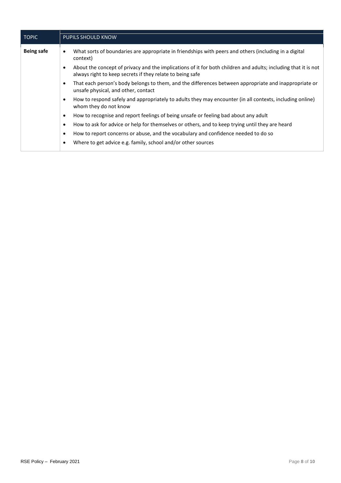| <b>TOPIC</b>      | <b>PUPILS SHOULD KNOW</b>                                                                                                                                                        |
|-------------------|----------------------------------------------------------------------------------------------------------------------------------------------------------------------------------|
| <b>Being safe</b> | What sorts of boundaries are appropriate in friendships with peers and others (including in a digital<br>$\bullet$<br>context)                                                   |
|                   | About the concept of privacy and the implications of it for both children and adults; including that it is not<br>٠<br>always right to keep secrets if they relate to being safe |
|                   | That each person's body belongs to them, and the differences between appropriate and inappropriate or<br>$\bullet$<br>unsafe physical, and other, contact                        |
|                   | How to respond safely and appropriately to adults they may encounter (in all contexts, including online)<br>$\bullet$<br>whom they do not know                                   |
|                   | How to recognise and report feelings of being unsafe or feeling bad about any adult<br>$\bullet$                                                                                 |
|                   | How to ask for advice or help for themselves or others, and to keep trying until they are heard<br>$\bullet$                                                                     |
|                   | How to report concerns or abuse, and the vocabulary and confidence needed to do so<br>$\bullet$                                                                                  |
|                   | Where to get advice e.g. family, school and/or other sources<br>٠                                                                                                                |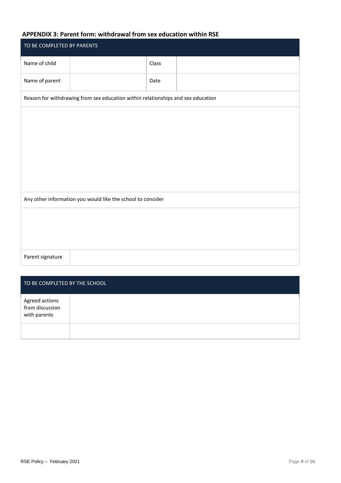# <span id="page-8-0"></span>**APPENDIX 3: Parent form: withdrawal from sex education within RSE**

| TO BE COMPLETED BY PARENTS                                                       |  |       |  |  |
|----------------------------------------------------------------------------------|--|-------|--|--|
| Name of child                                                                    |  | Class |  |  |
| Name of parent                                                                   |  | Date  |  |  |
| Reason for withdrawing from sex education within relationships and sex education |  |       |  |  |
|                                                                                  |  |       |  |  |
|                                                                                  |  |       |  |  |
|                                                                                  |  |       |  |  |
|                                                                                  |  |       |  |  |
|                                                                                  |  |       |  |  |
| Any other information you would like the school to consider                      |  |       |  |  |
|                                                                                  |  |       |  |  |
|                                                                                  |  |       |  |  |
|                                                                                  |  |       |  |  |
| Parent signature                                                                 |  |       |  |  |

| TO BE COMPLETED BY THE SCHOOL                     |  |  |  |
|---------------------------------------------------|--|--|--|
| Agreed actions<br>from discussion<br>with parents |  |  |  |
|                                                   |  |  |  |